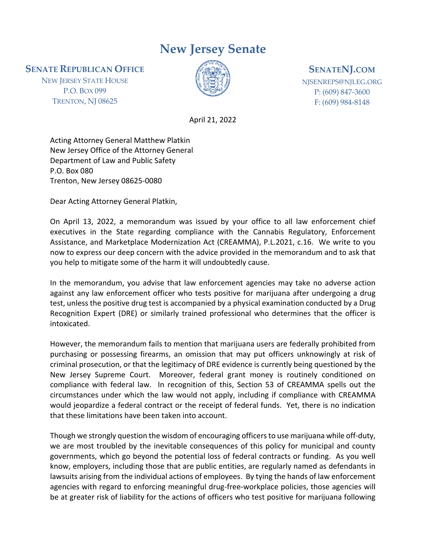## **New Jersey Senate**

**SENATE REPUBLICAN OFFICE**

NEW JERSEY STATE HOUSE P.O. BOX 099 TRENTON, NJ 08625



## **SENATENJ.COM**

NJSENREPS@NJLEG.ORG P: (609) 847-3600 F: (609) 984-8148

April 21, 2022

Acting Attorney General Matthew Platkin New Jersey Office of the Attorney General Department of Law and Public Safety P.O. Box 080 Trenton, New Jersey 08625-0080

Dear Acting Attorney General Platkin,

On April 13, 2022, a memorandum was issued by your office to all law enforcement chief executives in the State regarding compliance with the Cannabis Regulatory, Enforcement Assistance, and Marketplace Modernization Act (CREAMMA), P.L.2021, c.16. We write to you now to express our deep concern with the advice provided in the memorandum and to ask that you help to mitigate some of the harm it will undoubtedly cause.

In the memorandum, you advise that law enforcement agencies may take no adverse action against any law enforcement officer who tests positive for marijuana after undergoing a drug test, unless the positive drug test is accompanied by a physical examination conducted by a Drug Recognition Expert (DRE) or similarly trained professional who determines that the officer is intoxicated.

However, the memorandum fails to mention that marijuana users are federally prohibited from purchasing or possessing firearms, an omission that may put officers unknowingly at risk of criminal prosecution, or that the legitimacy of DRE evidence is currently being questioned by the New Jersey Supreme Court. Moreover, federal grant money is routinely conditioned on compliance with federal law. In recognition of this, Section 53 of CREAMMA spells out the circumstances under which the law would not apply, including if compliance with CREAMMA would jeopardize a federal contract or the receipt of federal funds. Yet, there is no indication that these limitations have been taken into account.

Though we strongly question the wisdom of encouraging officers to use marijuana while off-duty, we are most troubled by the inevitable consequences of this policy for municipal and county governments, which go beyond the potential loss of federal contracts or funding. As you well know, employers, including those that are public entities, are regularly named as defendants in lawsuits arising from the individual actions of employees. By tying the hands of law enforcement agencies with regard to enforcing meaningful drug-free-workplace policies, those agencies will be at greater risk of liability for the actions of officers who test positive for marijuana following